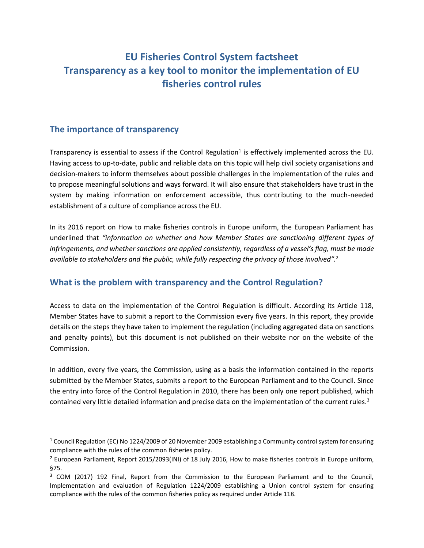## **EU Fisheries Control System factsheet Transparency as a key tool to monitor the implementation of EU fisheries control rules**

## **The importance of transparency**

l

Transparency is essential to assess if the Control Regulation<sup>1</sup> is effectively implemented across the EU. Having access to up-to-date, public and reliable data on this topic will help civil society organisations and decision-makers to inform themselves about possible challenges in the implementation of the rules and to propose meaningful solutions and ways forward. It will also ensure that stakeholders have trust in the system by making information on enforcement accessible, thus contributing to the much-needed establishment of a culture of compliance across the EU.

In its 2016 report on How to make fisheries controls in Europe uniform, the European Parliament has underlined that *"information on whether and how Member States are sanctioning different types of infringements, and whether sanctions are applied consistently, regardless of a vessel's flag, must be made available to stakeholders and the public, while fully respecting the privacy of those involved".*<sup>2</sup>

## **What is the problem with transparency and the Control Regulation?**

Access to data on the implementation of the Control Regulation is difficult. According its Article 118, Member States have to submit a report to the Commission every five years. In this report, they provide details on the steps they have taken to implement the regulation (including aggregated data on sanctions and penalty points), but this document is not published on their website nor on the website of the Commission.

In addition, every five years, the Commission, using as a basis the information contained in the reports submitted by the Member States, submits a report to the European Parliament and to the Council. Since the entry into force of the Control Regulation in 2010, there has been only one report published, which contained very little detailed information and precise data on the implementation of the current rules.<sup>3</sup>

<sup>&</sup>lt;sup>1</sup> Council Regulation (EC) No 1224/2009 of 20 November 2009 establishing a Community control system for ensuring compliance with the rules of the common fisheries policy.

<sup>2</sup> European Parliament, Report 2015/2093(INI) of 18 July 2016, How to make fisheries controls in Europe uniform, §75.

<sup>&</sup>lt;sup>3</sup> COM (2017) 192 Final, Report from the Commission to the European Parliament and to the Council, Implementation and evaluation of Regulation 1224/2009 establishing a Union control system for ensuring compliance with the rules of the common fisheries policy as required under Article 118.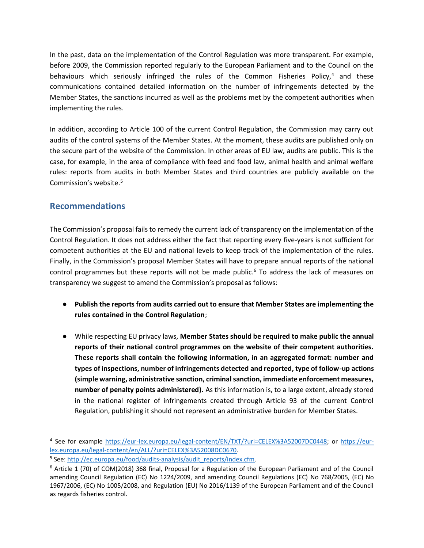In the past, data on the implementation of the Control Regulation was more transparent. For example, before 2009, the Commission reported regularly to the European Parliament and to the Council on the behaviours which seriously infringed the rules of the Common Fisheries Policy, $4$  and these communications contained detailed information on the number of infringements detected by the Member States, the sanctions incurred as well as the problems met by the competent authorities when implementing the rules.

In addition, according to Article 100 of the current Control Regulation, the Commission may carry out audits of the control systems of the Member States. At the moment, these audits are published only on the secure part of the website of the Commission. In other areas of EU law, audits are public. This is the case, for example, in the area of compliance with feed and food law, animal health and animal welfare rules: reports from audits in both Member States and third countries are publicly available on the Commission's website.<sup>5</sup>

## **Recommendations**

l

The Commission's proposal fails to remedy the current lack of transparency on the implementation of the Control Regulation. It does not address either the fact that reporting every five-years is not sufficient for competent authorities at the EU and national levels to keep track of the implementation of the rules. Finally, in the Commission's proposal Member States will have to prepare annual reports of the national control programmes but these reports will not be made public.<sup>6</sup> To address the lack of measures on transparency we suggest to amend the Commission's proposal as follows:

- **Publish the reports from audits carried out to ensure that Member States are implementing the rules contained in the Control Regulation**;
- While respecting EU privacy laws, **Member States should be required to make public the annual reports of their national control programmes on the website of their competent authorities. These reports shall contain the following information, in an aggregated format: number and types of inspections, number of infringements detected and reported, type of follow-up actions (simple warning, administrative sanction, criminal sanction, immediate enforcement measures, number of penalty points administered).** As this information is, to a large extent, already stored in the national register of infringements created through Article 93 of the current Control Regulation, publishing it should not represent an administrative burden for Member States.

<sup>&</sup>lt;sup>4</sup> See for example [https://eur-lex.europa.eu/legal-content/EN/TXT/?uri=CELEX%3A52007DC0448;](https://eur-lex.europa.eu/legal-content/EN/TXT/?uri=CELEX%3A52007DC0448) or [https://eur](https://eur-lex.europa.eu/legal-content/en/ALL/?uri=CELEX%3A52008DC0670)[lex.europa.eu/legal-content/en/ALL/?uri=CELEX%3A52008DC0670.](https://eur-lex.europa.eu/legal-content/en/ALL/?uri=CELEX%3A52008DC0670)

<sup>&</sup>lt;sup>5</sup> See: [http://ec.europa.eu/food/audits-analysis/audit\\_reports/index.cfm.](http://ec.europa.eu/food/audits-analysis/audit_reports/index.cfm)

<sup>6</sup> Article 1 (70) of COM(2018) 368 final, Proposal for a Regulation of the European Parliament and of the Council amending Council Regulation (EC) No 1224/2009, and amending Council Regulations (EC) No 768/2005, (EC) No 1967/2006, (EC) No 1005/2008, and Regulation (EU) No 2016/1139 of the European Parliament and of the Council as regards fisheries control.